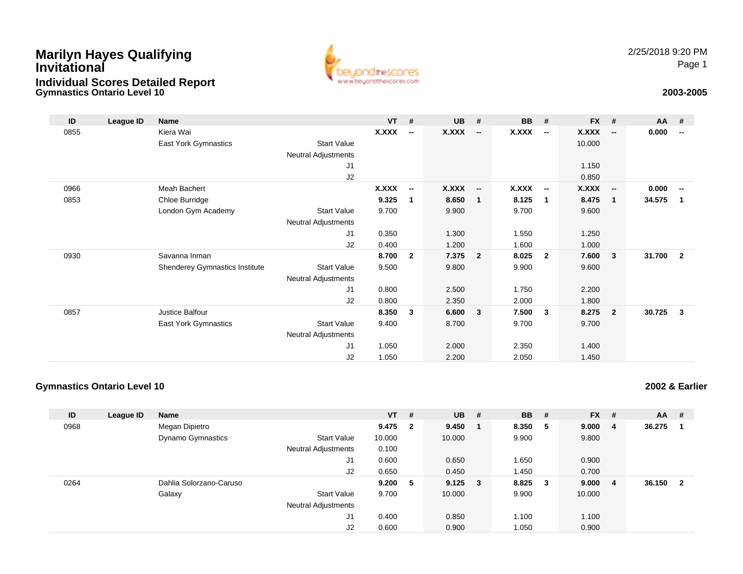## **Gymnastics Ontario Level 10Marilyn Hayes Qualifying InvitationalIndividual Scores Detailed Report**



2/25/2018 9:20 PMPage 1

## **2003-2005**

| ID   | League ID | Name                           |                     | <b>VT</b>    | #                        | <b>UB</b>    | #                        | <b>BB</b>    | #                        | $FX$ # |                         | AA     | - #                     |
|------|-----------|--------------------------------|---------------------|--------------|--------------------------|--------------|--------------------------|--------------|--------------------------|--------|-------------------------|--------|-------------------------|
| 0855 |           | Kiera Wai                      |                     | <b>X.XXX</b> | $\overline{\phantom{a}}$ | X.XXX        | $\overline{\phantom{a}}$ | <b>X.XXX</b> | $\sim$                   | X.XXX  | $\sim$                  | 0.000  | --                      |
|      |           | East York Gymnastics           | <b>Start Value</b>  |              |                          |              |                          |              |                          | 10.000 |                         |        |                         |
|      |           |                                | Neutral Adjustments |              |                          |              |                          |              |                          |        |                         |        |                         |
|      |           |                                | J <sub>1</sub>      |              |                          |              |                          |              |                          | 1.150  |                         |        |                         |
|      |           |                                | J2                  |              |                          |              |                          |              |                          | 0.850  |                         |        |                         |
| 0966 |           | Meah Bachert                   |                     | <b>X.XXX</b> | $\overline{\phantom{a}}$ | <b>X.XXX</b> | $\overline{\phantom{a}}$ | X.XXX        | $\overline{\phantom{a}}$ | X.XXX  | $\sim$                  | 0.000  | --                      |
| 0853 |           | Chloe Burridge                 |                     | 9.325        | 1                        | 8.650        | $\mathbf{1}$             | 8.125        | $\overline{\phantom{0}}$ | 8.475  | $\overline{\mathbf{1}}$ | 34.575 | $\overline{\mathbf{1}}$ |
|      |           | London Gym Academy             | <b>Start Value</b>  | 9.700        |                          | 9.900        |                          | 9.700        |                          | 9.600  |                         |        |                         |
|      |           |                                | Neutral Adjustments |              |                          |              |                          |              |                          |        |                         |        |                         |
|      |           |                                | J1                  | 0.350        |                          | 1.300        |                          | 1.550        |                          | 1.250  |                         |        |                         |
|      |           |                                | J2                  | 0.400        |                          | 1.200        |                          | 1.600        |                          | 1.000  |                         |        |                         |
| 0930 |           | Savanna Inman                  |                     | 8.700        | $\mathbf{2}$             | 7.375        | $\overline{2}$           | 8.025        | $\overline{2}$           | 7.600  | $\overline{\mathbf{3}}$ | 31.700 | $\overline{\mathbf{2}}$ |
|      |           | Shenderey Gymnastics Institute | <b>Start Value</b>  | 9.500        |                          | 9.800        |                          | 9.900        |                          | 9.600  |                         |        |                         |
|      |           |                                | Neutral Adjustments |              |                          |              |                          |              |                          |        |                         |        |                         |
|      |           |                                | J1                  | 0.800        |                          | 2.500        |                          | 1.750        |                          | 2.200  |                         |        |                         |
|      |           |                                | J2                  | 0.800        |                          | 2.350        |                          | 2.000        |                          | 1.800  |                         |        |                         |
| 0857 |           | Justice Balfour                |                     | 8.350        | 3                        | 6.600        | 3                        | 7.500        | $\mathbf{3}$             | 8.275  | $\overline{\mathbf{2}}$ | 30.725 | 3                       |
|      |           | <b>East York Gymnastics</b>    | <b>Start Value</b>  | 9.400        |                          | 8.700        |                          | 9.700        |                          | 9.700  |                         |        |                         |
|      |           |                                | Neutral Adjustments |              |                          |              |                          |              |                          |        |                         |        |                         |
|      |           |                                | J1                  | 1.050        |                          | 2.000        |                          | 2.350        |                          | 1.400  |                         |        |                         |
|      |           |                                | J2                  | 1.050        |                          | 2.200        |                          | 2.050        |                          | 1.450  |                         |        |                         |

## **Gymnastics Ontario Level 10**

**2002 & Earlier**

| ID   | League ID | <b>Name</b>             |                            | $VT$ # |                         | <b>UB</b>   | # | <b>BB</b> | #  | <b>FX</b> | # | $AA$ # |                         |
|------|-----------|-------------------------|----------------------------|--------|-------------------------|-------------|---|-----------|----|-----------|---|--------|-------------------------|
| 0968 |           | Megan Dipietro          |                            | 9.475  | $\overline{\mathbf{2}}$ | 9.450       |   | 8.350     | -5 | 9.000     | 4 | 36.275 |                         |
|      |           | Dynamo Gymnastics       | <b>Start Value</b>         | 10.000 |                         | 10.000      |   | 9.900     |    | 9.800     |   |        |                         |
|      |           |                         | <b>Neutral Adjustments</b> | 0.100  |                         |             |   |           |    |           |   |        |                         |
|      |           |                         | J1                         | 0.600  |                         | 0.650       |   | 1.650     |    | 0.900     |   |        |                         |
|      |           |                         | J2                         | 0.650  |                         | 0.450       |   | 1.450     |    | 0.700     |   |        |                         |
| 0264 |           | Dahlia Solorzano-Caruso |                            | 9.200  | 5                       | $9.125 \t3$ |   | 8.825     | -3 | 9.000     | 4 | 36.150 | $\overline{\mathbf{2}}$ |
|      |           | Galaxy                  | <b>Start Value</b>         | 9.700  |                         | 10.000      |   | 9.900     |    | 10.000    |   |        |                         |
|      |           |                         | <b>Neutral Adjustments</b> |        |                         |             |   |           |    |           |   |        |                         |
|      |           |                         | J1                         | 0.400  |                         | 0.850       |   | 1.100     |    | 1.100     |   |        |                         |
|      |           |                         | J2                         | 0.600  |                         | 0.900       |   | 1.050     |    | 0.900     |   |        |                         |